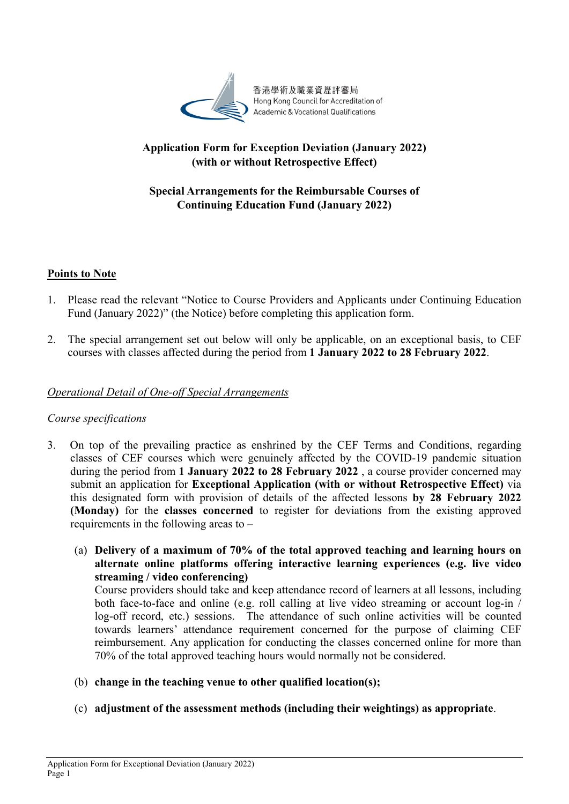

# **Application Form for Exception Deviation (January 2022) (with or without Retrospective Effect)**

# **Special Arrangements for the Reimbursable Courses of Continuing Education Fund (January 2022)**

# **Points to Note**

- 1. Please read the relevant "Notice to Course Providers and Applicants under Continuing Education Fund (January 2022)" (the Notice) before completing this application form.
- 2. The special arrangement set out below will only be applicable, on an exceptional basis, to CEF courses with classes affected during the period from **1 January 2022 to 28 February 2022**.

## *Operational Detail of One-off Special Arrangements*

### *Course specifications*

- 3. On top of the prevailing practice as enshrined by the CEF Terms and Conditions, regarding classes of CEF courses which were genuinely affected by the COVID-19 pandemic situation during the period from **1 January 2022 to 28 February 2022** , a course provider concerned may submit an application for **Exceptional Application (with or without Retrospective Effect)** via this designated form with provision of details of the affected lessons **by 28 February 2022 (Monday)** for the **classes concerned** to register for deviations from the existing approved requirements in the following areas to –
	- (a) **Delivery of a maximum of 70% of the total approved teaching and learning hours on alternate online platforms offering interactive learning experiences (e.g. live video streaming / video conferencing)**

Course providers should take and keep attendance record of learners at all lessons, including both face-to-face and online (e.g. roll calling at live video streaming or account log-in / log-off record, etc.) sessions. The attendance of such online activities will be counted towards learners' attendance requirement concerned for the purpose of claiming CEF reimbursement. Any application for conducting the classes concerned online for more than 70% of the total approved teaching hours would normally not be considered.

- (b) **change in the teaching venue to other qualified location(s);**
- (c) **adjustment of the assessment methods (including their weightings) as appropriate**.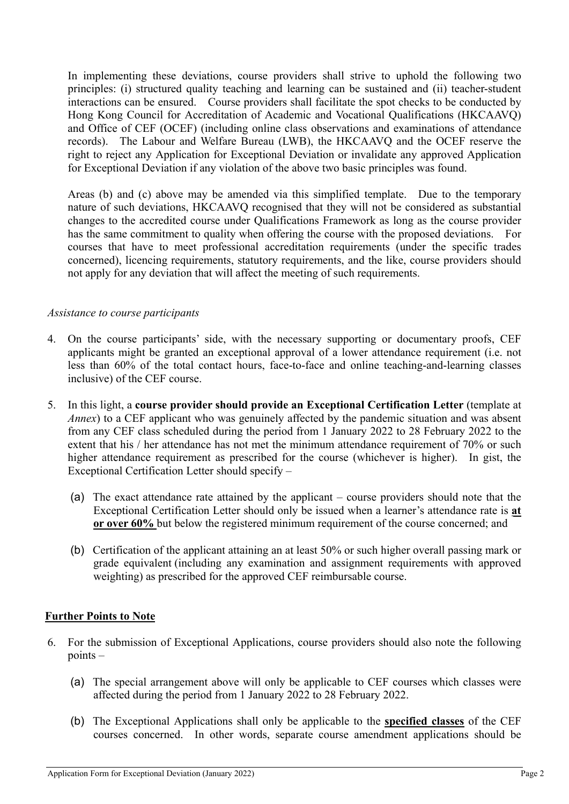In implementing these deviations, course providers shall strive to uphold the following two principles: (i) structured quality teaching and learning can be sustained and (ii) teacher-student interactions can be ensured. Course providers shall facilitate the spot checks to be conducted by Hong Kong Council for Accreditation of Academic and Vocational Qualifications (HKCAAVQ) and Office of CEF (OCEF) (including online class observations and examinations of attendance records). The Labour and Welfare Bureau (LWB), the HKCAAVQ and the OCEF reserve the right to reject any Application for Exceptional Deviation or invalidate any approved Application for Exceptional Deviation if any violation of the above two basic principles was found.

Areas (b) and (c) above may be amended via this simplified template. Due to the temporary nature of such deviations, HKCAAVQ recognised that they will not be considered as substantial changes to the accredited course under Qualifications Framework as long as the course provider has the same commitment to quality when offering the course with the proposed deviations. For courses that have to meet professional accreditation requirements (under the specific trades concerned), licencing requirements, statutory requirements, and the like, course providers should not apply for any deviation that will affect the meeting of such requirements.

### *Assistance to course participants*

- 4. On the course participants' side, with the necessary supporting or documentary proofs, CEF applicants might be granted an exceptional approval of a lower attendance requirement (i.e. not less than 60% of the total contact hours, face-to-face and online teaching-and-learning classes inclusive) of the CEF course.
- 5. In this light, a **course provider should provide an Exceptional Certification Letter** (template at *Annex*) to a CEF applicant who was genuinely affected by the pandemic situation and was absent from any CEF class scheduled during the period from 1 January 2022 to 28 February 2022 to the extent that his / her attendance has not met the minimum attendance requirement of 70% or such higher attendance requirement as prescribed for the course (whichever is higher). In gist, the Exceptional Certification Letter should specify –
	- (a) The exact attendance rate attained by the applicant course providers should note that the Exceptional Certification Letter should only be issued when a learner's attendance rate is **at or over 60%** but below the registered minimum requirement of the course concerned; and
	- (b) Certification of the applicant attaining an at least 50% or such higher overall passing mark or grade equivalent (including any examination and assignment requirements with approved weighting) as prescribed for the approved CEF reimbursable course.

## **Further Points to Note**

- 6. For the submission of Exceptional Applications, course providers should also note the following points –
	- (a) The special arrangement above will only be applicable to CEF courses which classes were affected during the period from 1 January 2022 to 28 February 2022.
	- (b) The Exceptional Applications shall only be applicable to the **specified classes** of the CEF courses concerned. In other words, separate course amendment applications should be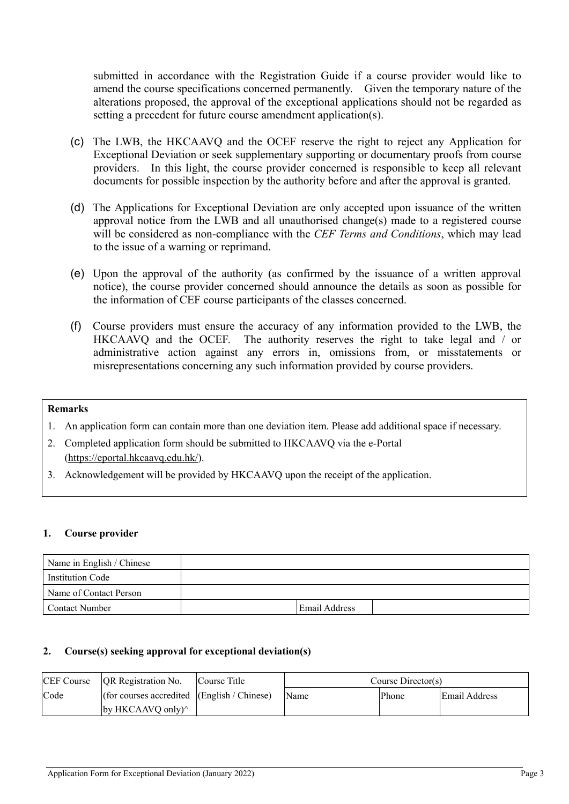submitted in accordance with the Registration Guide if a course provider would like to amend the course specifications concerned permanently. Given the temporary nature of the alterations proposed, the approval of the exceptional applications should not be regarded as setting a precedent for future course amendment application(s).

- (c) The LWB, the HKCAAVQ and the OCEF reserve the right to reject any Application for Exceptional Deviation or seek supplementary supporting or documentary proofs from course providers. In this light, the course provider concerned is responsible to keep all relevant documents for possible inspection by the authority before and after the approval is granted.
- (d) The Applications for Exceptional Deviation are only accepted upon issuance of the written approval notice from the LWB and all unauthorised change(s) made to a registered course will be considered as non-compliance with the *CEF Terms and Conditions*, which may lead to the issue of a warning or reprimand.
- (e) Upon the approval of the authority (as confirmed by the issuance of a written approval notice), the course provider concerned should announce the details as soon as possible for the information of CEF course participants of the classes concerned.
- (f) Course providers must ensure the accuracy of any information provided to the LWB, the HKCAAVQ and the OCEF. The authority reserves the right to take legal and / or administrative action against any errors in, omissions from, or misstatements or misrepresentations concerning any such information provided by course providers.

#### **Remarks**

- 1. An application form can contain more than one deviation item. Please add additional space if necessary.
- 2. Completed application form should be submitted to HKCAAVQ via the e-Portal (https://eportal.hkcaavq.edu.hk/).
- 3. Acknowledgement will be provided by HKCAAVQ upon the receipt of the application.

#### **1. Course provider**

| Name in English / Chinese |                      |  |
|---------------------------|----------------------|--|
| Institution Code          |                      |  |
| Name of Contact Person    |                      |  |
| <b>Contact Number</b>     | <b>Email Address</b> |  |

### **2. Course(s) seeking approval for exceptional deviation(s)**

| <b>CEF Course</b> | QR Registration No.                             | Course Title | Course $Directory(S)$ |       |               |  |
|-------------------|-------------------------------------------------|--------------|-----------------------|-------|---------------|--|
| Code              | (for courses accredited $ $ (English / Chinese) |              | Name                  | Phone | Email Address |  |
|                   | by HKCAAVQ only $\wedge$                        |              |                       |       |               |  |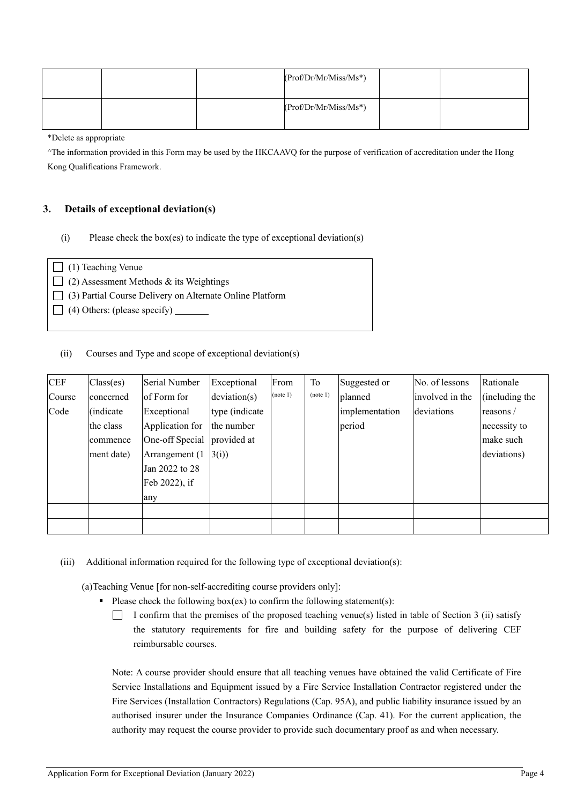|  | $(Prof/Dr/Mr/Miss/Ms^*)$ |  |
|--|--------------------------|--|
|  | $(Prof/Dr/Mr/Miss/Ms^*)$ |  |

\*Delete as appropriate

^The information provided in this Form may be used by the HKCAAVQ for the purpose of verification of accreditation under the Hong Kong Qualifications Framework.

### **3. Details of exceptional deviation(s)**

(i) Please check the box(es) to indicate the type of exceptional deviation(s)

| $\Box$ (1) Teaching Venue                                       |
|-----------------------------------------------------------------|
| $\Box$ (2) Assessment Methods & its Weightings                  |
| $\Box$ (3) Partial Course Delivery on Alternate Online Platform |
| $\Box$ (4) Others: (please specify) $\Box$                      |
|                                                                 |

(ii) Courses and Type and scope of exceptional deviation(s)

| <b>CEF</b> | $\text{Class}(\text{es})$ | Serial Number               | Exceptional     | From     | To       | Suggested or   | No. of lessons  | Rationale      |
|------------|---------------------------|-----------------------------|-----------------|----------|----------|----------------|-----------------|----------------|
| Course     | concerned                 | of Form for                 | deviation(s)    | (note 1) | (note 1) | planned        | involved in the | (including the |
| Code       | (indicate)                | Exceptional                 | type (indicate) |          |          | implementation | deviations      | reasons $/$    |
|            | the class                 | Application for             | the number      |          |          | period         |                 | necessity to   |
|            | commence                  | One-off Special provided at |                 |          |          |                |                 | make such      |
|            | ment date)                | Arrangement $(1 \ 3(i))$    |                 |          |          |                |                 | deviations)    |
|            |                           | Jan 2022 to 28              |                 |          |          |                |                 |                |
|            |                           | Feb 2022), if               |                 |          |          |                |                 |                |
|            |                           | any                         |                 |          |          |                |                 |                |
|            |                           |                             |                 |          |          |                |                 |                |
|            |                           |                             |                 |          |          |                |                 |                |

(iii) Additional information required for the following type of exceptional deviation(s):

(a)Teaching Venue [for non-self-accrediting course providers only]:

- Please check the following box(ex) to confirm the following statement(s):
	- I confirm that the premises of the proposed teaching venue(s) listed in table of Section 3 (ii) satisfy the statutory requirements for fire and building safety for the purpose of delivering CEF reimbursable courses.

Note: A course provider should ensure that all teaching venues have obtained the valid Certificate of Fire Service Installations and Equipment issued by a Fire Service Installation Contractor registered under the Fire Services (Installation Contractors) Regulations (Cap. 95A), and public liability insurance issued by an authorised insurer under the Insurance Companies Ordinance (Cap. 41). For the current application, the authority may request the course provider to provide such documentary proof as and when necessary.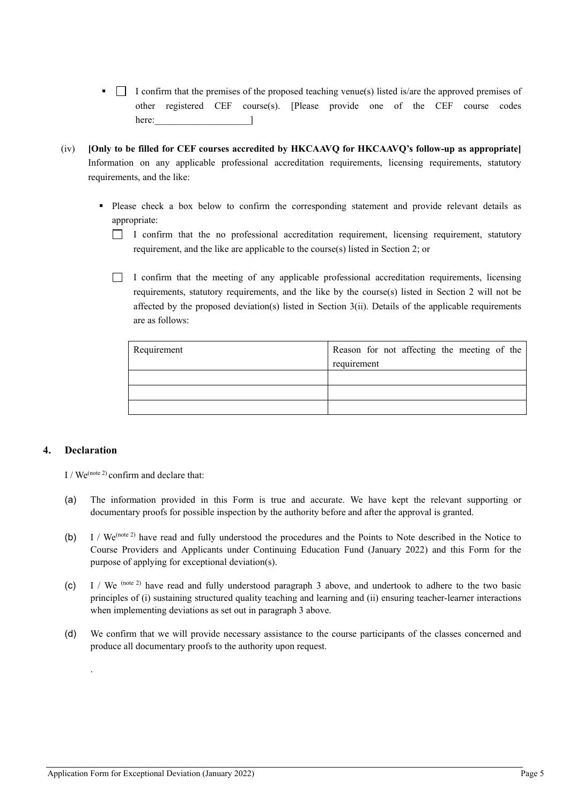- $\blacksquare$  I confirm that the premises of the proposed teaching venue(s) listed is/are the approved premises of other registered CEF course(s). [Please provide one of the CEF course codes here: [1]
- (iv) **[Only to be filled for CEF courses accredited by HKCAAVQ for HKCAAVQ's follow-up as appropriate]** Information on any applicable professional accreditation requirements, licensing requirements, statutory requirements, and the like:
	- Please check a box below to confirm the corresponding statement and provide relevant details as appropriate:
		- I confirm that the no professional accreditation requirement, licensing requirement, statutory requirement, and the like are applicable to the course(s) listed in Section 2; or
		- $\Box$  I confirm that the meeting of any applicable professional accreditation requirements, licensing requirements, statutory requirements, and the like by the course(s) listed in Section 2 will not be affected by the proposed deviation(s) listed in Section 3(ii). Details of the applicable requirements are as follows:

| Requirement | Reason for not affecting the meeting of the |
|-------------|---------------------------------------------|
|             | requirement                                 |
|             |                                             |
|             |                                             |
|             |                                             |

#### **4. Declaration**

.

I / We<sup>(note 2)</sup> confirm and declare that:

- (a) The information provided in this Form is true and accurate. We have kept the relevant supporting or documentary proofs for possible inspection by the authority before and after the approval is granted.
- (b) I / We(note 2) have read and fully understood the procedures and the Points to Note described in the Notice to Course Providers and Applicants under Continuing Education Fund (January 2022) and this Form for the purpose of applying for exceptional deviation(s).
- (c) I / We (note 2) have read and fully understood paragraph 3 above, and undertook to adhere to the two basic principles of (i) sustaining structured quality teaching and learning and (ii) ensuring teacher-learner interactions when implementing deviations as set out in paragraph 3 above.
- (d) We confirm that we will provide necessary assistance to the course participants of the classes concerned and produce all documentary proofs to the authority upon request.